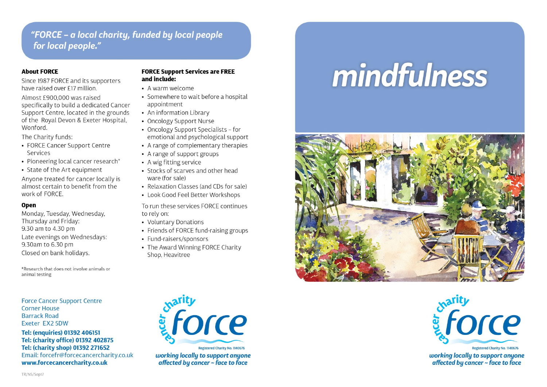# "FORCE - a local charity, funded by local people for local people."

## **About FORCE**

Since 1987 FORCE and its supporters have raised over £17 million.

Almost £900,000 was raised specifically to build a dedicated Cancer Support Centre, located in the grounds of the Royal Devon & Exeter Hospital, Wonford

The Charity funds:

- FORCE Cancer Support Centre Services
- Pioneering local cancer research\*
- State of the Art equipment

Anyone treated for cancer locally is almost certain to benefit from the work of FORCE.

## Open

Monday, Tuesday, Wednesday, Thursday and Friday: 9.30 am to 4.30 pm Late evenings on Wednesdays: 9.30am to 6.30 pm Closed on bank holidays.

\*Research that does not involve animals or animal testing

**Force Cancer Support Centre Corner House Barrack Road** Exeter EX2 5DW

Tel: (enquiries) 01392 406151 Tel: (charity office) 01392 402875 Tel: (charity shop) 01392 271652 Email: forcefr@forcecancercharity.co.uk www.forcecancercharity.co.uk

#### **FORCE Support Services are FREE** and include:

- $\bullet$  A warm welcome
- Somewhere to wait before a hospital appointment
- An information Library
- Oncology Support Nurse
- Oncology Support Specialists for emotional and psychological support
- A range of complementary therapies
- A range of support groups
- A wig fitting service
- Stocks of scarves and other head ware (for sale)
- Relaxation Classes (and CDs for sale)
- Look Good Feel Better Workshops

To run these services FORCE continues to rely on:

- Voluntary Donations
- Friends of FORCE fund-raising groups
- Fund-raisers/sponsors
- The Award Winning FORCE Charity Shop, Heavitree

mindfulness





working locally to support anyone affected by cancer  $\sim$  face to face



working locally to support anyone affected by cancer ~ face to face